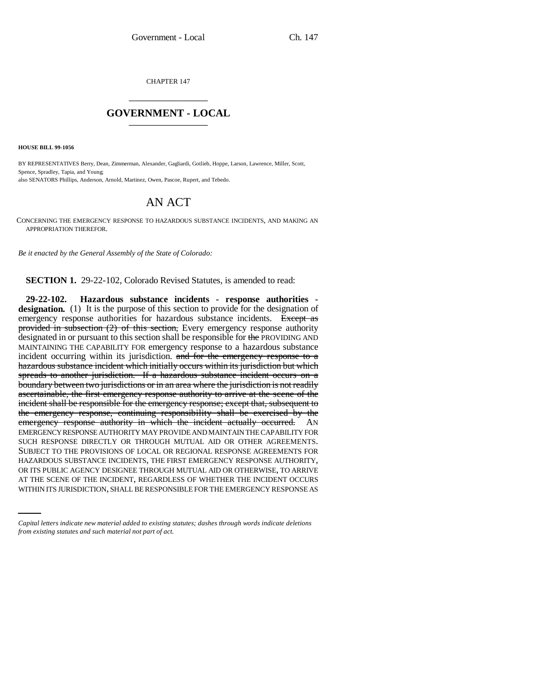CHAPTER 147 \_\_\_\_\_\_\_\_\_\_\_\_\_\_\_

## **GOVERNMENT - LOCAL** \_\_\_\_\_\_\_\_\_\_\_\_\_\_\_

**HOUSE BILL 99-1056** 

BY REPRESENTATIVES Berry, Dean, Zimmerman, Alexander, Gagliardi, Gotlieb, Hoppe, Larson, Lawrence, Miller, Scott, Spence, Spradley, Tapia, and Young; also SENATORS Phillips, Anderson, Arnold, Martinez, Owen, Pascoe, Rupert, and Tebedo.

## AN ACT

CONCERNING THE EMERGENCY RESPONSE TO HAZARDOUS SUBSTANCE INCIDENTS, AND MAKING AN APPROPRIATION THEREFOR.

*Be it enacted by the General Assembly of the State of Colorado:*

**SECTION 1.** 29-22-102, Colorado Revised Statutes, is amended to read:

OR ITS PUBLIC AGENCY DESIGNEE THROUGH MUTUAL AID OR OTHERWISE, TO ARRIVE **29-22-102. Hazardous substance incidents - response authorities**  designation. (1) It is the purpose of this section to provide for the designation of emergency response authorities for hazardous substance incidents. Except as provided in subsection  $(2)$  of this section, Every emergency response authority designated in or pursuant to this section shall be responsible for the PROVIDING AND MAINTAINING THE CAPABILITY FOR emergency response to a hazardous substance incident occurring within its jurisdiction. and for the emergency response to a hazardous substance incident which initially occurs within its jurisdiction but which spreads to another jurisdiction. If a hazardous substance incident occurs on a boundary between two jurisdictions or in an area where the jurisdiction is not readily ascertainable, the first emergency response authority to arrive at the scene of the incident shall be responsible for the emergency response; except that, subsequent to the emergency response, continuing responsibility shall be exercised by the emergency response authority in which the incident actually occurred. AN EMERGENCY RESPONSE AUTHORITY MAY PROVIDE AND MAINTAIN THE CAPABILITY FOR SUCH RESPONSE DIRECTLY OR THROUGH MUTUAL AID OR OTHER AGREEMENTS. SUBJECT TO THE PROVISIONS OF LOCAL OR REGIONAL RESPONSE AGREEMENTS FOR HAZARDOUS SUBSTANCE INCIDENTS, THE FIRST EMERGENCY RESPONSE AUTHORITY, AT THE SCENE OF THE INCIDENT, REGARDLESS OF WHETHER THE INCIDENT OCCURS WITHIN ITS JURISDICTION, SHALL BE RESPONSIBLE FOR THE EMERGENCY RESPONSE AS

*Capital letters indicate new material added to existing statutes; dashes through words indicate deletions from existing statutes and such material not part of act.*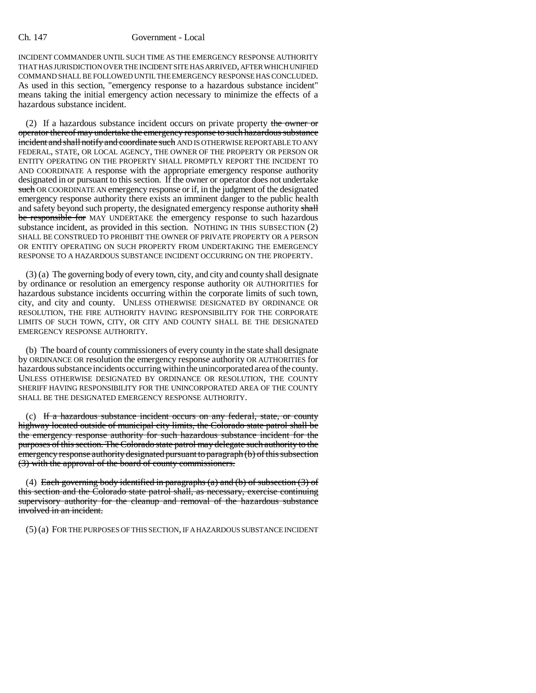## Ch. 147 Government - Local

INCIDENT COMMANDER UNTIL SUCH TIME AS THE EMERGENCY RESPONSE AUTHORITY THAT HAS JURISDICTION OVER THE INCIDENT SITE HAS ARRIVED, AFTER WHICH UNIFIED COMMAND SHALL BE FOLLOWED UNTIL THE EMERGENCY RESPONSE HAS CONCLUDED. As used in this section, "emergency response to a hazardous substance incident" means taking the initial emergency action necessary to minimize the effects of a hazardous substance incident.

(2) If a hazardous substance incident occurs on private property the owner or operator thereof may undertake the emergency response to such hazardous substance incident and shall notify and coordinate such AND IS OTHERWISE REPORTABLE TO ANY FEDERAL, STATE, OR LOCAL AGENCY, THE OWNER OF THE PROPERTY OR PERSON OR ENTITY OPERATING ON THE PROPERTY SHALL PROMPTLY REPORT THE INCIDENT TO AND COORDINATE A response with the appropriate emergency response authority designated in or pursuant to this section. If the owner or operator does not undertake such OR COORDINATE AN emergency response or if, in the judgment of the designated emergency response authority there exists an imminent danger to the public health and safety beyond such property, the designated emergency response authority shall be responsible for MAY UNDERTAKE the emergency response to such hazardous substance incident, as provided in this section. NOTHING IN THIS SUBSECTION (2) SHALL BE CONSTRUED TO PROHIBIT THE OWNER OF PRIVATE PROPERTY OR A PERSON OR ENTITY OPERATING ON SUCH PROPERTY FROM UNDERTAKING THE EMERGENCY RESPONSE TO A HAZARDOUS SUBSTANCE INCIDENT OCCURRING ON THE PROPERTY.

(3) (a) The governing body of every town, city, and city and county shall designate by ordinance or resolution an emergency response authority OR AUTHORITIES for hazardous substance incidents occurring within the corporate limits of such town, city, and city and county. UNLESS OTHERWISE DESIGNATED BY ORDINANCE OR RESOLUTION, THE FIRE AUTHORITY HAVING RESPONSIBILITY FOR THE CORPORATE LIMITS OF SUCH TOWN, CITY, OR CITY AND COUNTY SHALL BE THE DESIGNATED EMERGENCY RESPONSE AUTHORITY.

(b) The board of county commissioners of every county in the state shall designate by ORDINANCE OR resolution the emergency response authority OR AUTHORITIES for hazardous substance incidents occurring within the unincorporated area of the county. UNLESS OTHERWISE DESIGNATED BY ORDINANCE OR RESOLUTION, THE COUNTY SHERIFF HAVING RESPONSIBILITY FOR THE UNINCORPORATED AREA OF THE COUNTY SHALL BE THE DESIGNATED EMERGENCY RESPONSE AUTHORITY.

(c) If a hazardous substance incident occurs on any federal, state, or county highway located outside of municipal city limits, the Colorado state patrol shall be the emergency response authority for such hazardous substance incident for the purposes of this section. The Colorado state patrol may delegate such authority to the emergency response authority designated pursuant to paragraph (b) of this subsection (3) with the approval of the board of county commissioners.

(4) Each governing body identified in paragraphs (a) and (b) of subsection  $(3)$  of this section and the Colorado state patrol shall, as necessary, exercise continuing supervisory authority for the cleanup and removal of the hazardous substance involved in an incident.

(5) (a) FOR THE PURPOSES OF THIS SECTION, IF A HAZARDOUS SUBSTANCE INCIDENT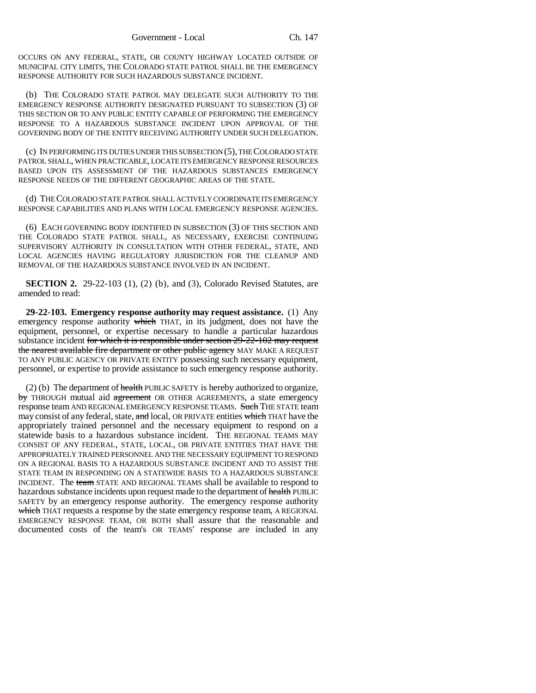OCCURS ON ANY FEDERAL, STATE, OR COUNTY HIGHWAY LOCATED OUTSIDE OF MUNICIPAL CITY LIMITS, THE COLORADO STATE PATROL SHALL BE THE EMERGENCY RESPONSE AUTHORITY FOR SUCH HAZARDOUS SUBSTANCE INCIDENT.

(b) THE COLORADO STATE PATROL MAY DELEGATE SUCH AUTHORITY TO THE EMERGENCY RESPONSE AUTHORITY DESIGNATED PURSUANT TO SUBSECTION (3) OF THIS SECTION OR TO ANY PUBLIC ENTITY CAPABLE OF PERFORMING THE EMERGENCY RESPONSE TO A HAZARDOUS SUBSTANCE INCIDENT UPON APPROVAL OF THE GOVERNING BODY OF THE ENTITY RECEIVING AUTHORITY UNDER SUCH DELEGATION.

(c) IN PERFORMING ITS DUTIES UNDER THIS SUBSECTION (5), THE COLORADO STATE PATROL SHALL, WHEN PRACTICABLE, LOCATE ITS EMERGENCY RESPONSE RESOURCES BASED UPON ITS ASSESSMENT OF THE HAZARDOUS SUBSTANCES EMERGENCY RESPONSE NEEDS OF THE DIFFERENT GEOGRAPHIC AREAS OF THE STATE.

(d) THE COLORADO STATE PATROL SHALL ACTIVELY COORDINATE ITS EMERGENCY RESPONSE CAPABILITIES AND PLANS WITH LOCAL EMERGENCY RESPONSE AGENCIES.

(6) EACH GOVERNING BODY IDENTIFIED IN SUBSECTION (3) OF THIS SECTION AND THE COLORADO STATE PATROL SHALL, AS NECESSARY, EXERCISE CONTINUING SUPERVISORY AUTHORITY IN CONSULTATION WITH OTHER FEDERAL, STATE, AND LOCAL AGENCIES HAVING REGULATORY JURISDICTION FOR THE CLEANUP AND REMOVAL OF THE HAZARDOUS SUBSTANCE INVOLVED IN AN INCIDENT.

**SECTION 2.** 29-22-103 (1), (2) (b), and (3), Colorado Revised Statutes, are amended to read:

**29-22-103. Emergency response authority may request assistance.** (1) Any emergency response authority which THAT, in its judgment, does not have the equipment, personnel, or expertise necessary to handle a particular hazardous substance incident for which it is responsible under section 29-22-102 may request the nearest available fire department or other public agency MAY MAKE A REQUEST TO ANY PUBLIC AGENCY OR PRIVATE ENTITY possessing such necessary equipment, personnel, or expertise to provide assistance to such emergency response authority.

 $(2)$  (b) The department of health PUBLIC SAFETY is hereby authorized to organize, by THROUGH mutual aid agreement OR OTHER AGREEMENTS, a state emergency response team AND REGIONAL EMERGENCY RESPONSE TEAMS. Such THE STATE team may consist of any federal, state, and local, OR PRIVATE entities which THAT have the appropriately trained personnel and the necessary equipment to respond on a statewide basis to a hazardous substance incident. THE REGIONAL TEAMS MAY CONSIST OF ANY FEDERAL, STATE, LOCAL, OR PRIVATE ENTITIES THAT HAVE THE APPROPRIATELY TRAINED PERSONNEL AND THE NECESSARY EQUIPMENT TO RESPOND ON A REGIONAL BASIS TO A HAZARDOUS SUBSTANCE INCIDENT AND TO ASSIST THE STATE TEAM IN RESPONDING ON A STATEWIDE BASIS TO A HAZARDOUS SUBSTANCE INCIDENT. The team STATE AND REGIONAL TEAMS shall be available to respond to hazardous substance incidents upon request made to the department of health PUBLIC SAFETY by an emergency response authority. The emergency response authority which THAT requests a response by the state emergency response team, A REGIONAL EMERGENCY RESPONSE TEAM, OR BOTH shall assure that the reasonable and documented costs of the team's OR TEAMS' response are included in any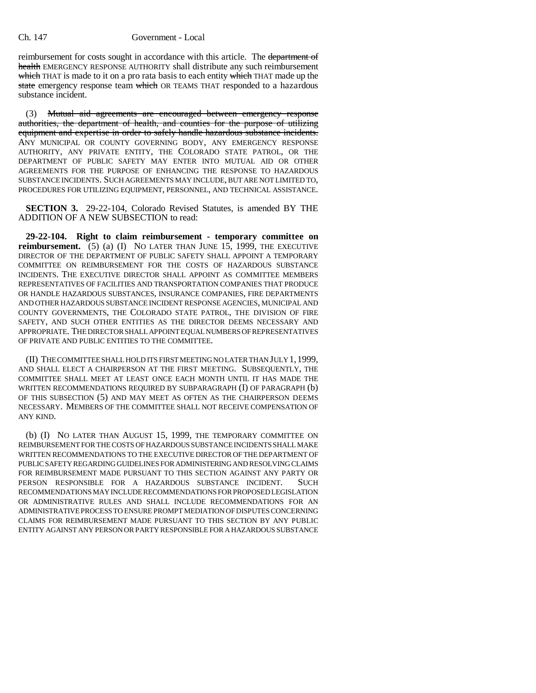reimbursement for costs sought in accordance with this article. The department of health EMERGENCY RESPONSE AUTHORITY shall distribute any such reimbursement which THAT is made to it on a pro rata basis to each entity which THAT made up the state emergency response team which OR TEAMS THAT responded to a hazardous substance incident.

(3) Mutual aid agreements are encouraged between emergency response authorities, the department of health, and counties for the purpose of utilizing equipment and expertise in order to safely handle hazardous substance incidents. ANY MUNICIPAL OR COUNTY GOVERNING BODY, ANY EMERGENCY RESPONSE AUTHORITY, ANY PRIVATE ENTITY, THE COLORADO STATE PATROL, OR THE DEPARTMENT OF PUBLIC SAFETY MAY ENTER INTO MUTUAL AID OR OTHER AGREEMENTS FOR THE PURPOSE OF ENHANCING THE RESPONSE TO HAZARDOUS SUBSTANCE INCIDENTS. SUCH AGREEMENTS MAY INCLUDE, BUT ARE NOT LIMITED TO, PROCEDURES FOR UTILIZING EQUIPMENT, PERSONNEL, AND TECHNICAL ASSISTANCE.

**SECTION 3.** 29-22-104, Colorado Revised Statutes, is amended BY THE ADDITION OF A NEW SUBSECTION to read:

**29-22-104. Right to claim reimbursement - temporary committee on reimbursement.** (5) (a) (I) NO LATER THAN JUNE 15, 1999, THE EXECUTIVE DIRECTOR OF THE DEPARTMENT OF PUBLIC SAFETY SHALL APPOINT A TEMPORARY COMMITTEE ON REIMBURSEMENT FOR THE COSTS OF HAZARDOUS SUBSTANCE INCIDENTS. THE EXECUTIVE DIRECTOR SHALL APPOINT AS COMMITTEE MEMBERS REPRESENTATIVES OF FACILITIES AND TRANSPORTATION COMPANIES THAT PRODUCE OR HANDLE HAZARDOUS SUBSTANCES, INSURANCE COMPANIES, FIRE DEPARTMENTS AND OTHER HAZARDOUS SUBSTANCE INCIDENT RESPONSE AGENCIES, MUNICIPAL AND COUNTY GOVERNMENTS, THE COLORADO STATE PATROL, THE DIVISION OF FIRE SAFETY, AND SUCH OTHER ENTITIES AS THE DIRECTOR DEEMS NECESSARY AND APPROPRIATE. THE DIRECTOR SHALL APPOINT EQUAL NUMBERS OF REPRESENTATIVES OF PRIVATE AND PUBLIC ENTITIES TO THE COMMITTEE.

(II) THE COMMITTEE SHALL HOLD ITS FIRST MEETING NO LATER THAN JULY 1,1999, AND SHALL ELECT A CHAIRPERSON AT THE FIRST MEETING. SUBSEQUENTLY, THE COMMITTEE SHALL MEET AT LEAST ONCE EACH MONTH UNTIL IT HAS MADE THE WRITTEN RECOMMENDATIONS REQUIRED BY SUBPARAGRAPH (I) OF PARAGRAPH (b) OF THIS SUBSECTION (5) AND MAY MEET AS OFTEN AS THE CHAIRPERSON DEEMS NECESSARY. MEMBERS OF THE COMMITTEE SHALL NOT RECEIVE COMPENSATION OF ANY KIND.

(b) (I) NO LATER THAN AUGUST 15, 1999, THE TEMPORARY COMMITTEE ON REIMBURSEMENT FOR THE COSTS OF HAZARDOUS SUBSTANCE INCIDENTS SHALL MAKE WRITTEN RECOMMENDATIONS TO THE EXECUTIVE DIRECTOR OF THE DEPARTMENT OF PUBLIC SAFETY REGARDING GUIDELINES FOR ADMINISTERING AND RESOLVING CLAIMS FOR REIMBURSEMENT MADE PURSUANT TO THIS SECTION AGAINST ANY PARTY OR PERSON RESPONSIBLE FOR A HAZARDOUS SUBSTANCE INCIDENT. SUCH RECOMMENDATIONS MAY INCLUDE RECOMMENDATIONS FOR PROPOSED LEGISLATION OR ADMINISTRATIVE RULES AND SHALL INCLUDE RECOMMENDATIONS FOR AN ADMINISTRATIVE PROCESS TO ENSURE PROMPT MEDIATION OF DISPUTES CONCERNING CLAIMS FOR REIMBURSEMENT MADE PURSUANT TO THIS SECTION BY ANY PUBLIC ENTITY AGAINST ANY PERSON OR PARTY RESPONSIBLE FOR A HAZARDOUS SUBSTANCE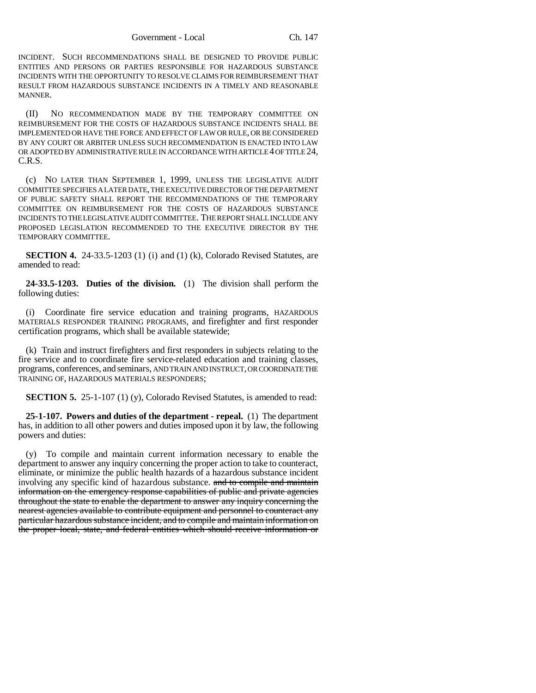INCIDENT. SUCH RECOMMENDATIONS SHALL BE DESIGNED TO PROVIDE PUBLIC ENTITIES AND PERSONS OR PARTIES RESPONSIBLE FOR HAZARDOUS SUBSTANCE INCIDENTS WITH THE OPPORTUNITY TO RESOLVE CLAIMS FOR REIMBURSEMENT THAT RESULT FROM HAZARDOUS SUBSTANCE INCIDENTS IN A TIMELY AND REASONABLE MANNER.

(II) NO RECOMMENDATION MADE BY THE TEMPORARY COMMITTEE ON REIMBURSEMENT FOR THE COSTS OF HAZARDOUS SUBSTANCE INCIDENTS SHALL BE IMPLEMENTED OR HAVE THE FORCE AND EFFECT OF LAW OR RULE, OR BE CONSIDERED BY ANY COURT OR ARBITER UNLESS SUCH RECOMMENDATION IS ENACTED INTO LAW OR ADOPTED BY ADMINISTRATIVE RULE IN ACCORDANCE WITH ARTICLE 4 OF TITLE 24, C.R.S.

(c) NO LATER THAN SEPTEMBER 1, 1999, UNLESS THE LEGISLATIVE AUDIT COMMITTEE SPECIFIES A LATER DATE, THE EXECUTIVE DIRECTOR OF THE DEPARTMENT OF PUBLIC SAFETY SHALL REPORT THE RECOMMENDATIONS OF THE TEMPORARY COMMITTEE ON REIMBURSEMENT FOR THE COSTS OF HAZARDOUS SUBSTANCE INCIDENTS TO THE LEGISLATIVE AUDIT COMMITTEE. THE REPORT SHALL INCLUDE ANY PROPOSED LEGISLATION RECOMMENDED TO THE EXECUTIVE DIRECTOR BY THE TEMPORARY COMMITTEE.

**SECTION 4.** 24-33.5-1203 (1) (i) and (1) (k), Colorado Revised Statutes, are amended to read:

**24-33.5-1203. Duties of the division.** (1) The division shall perform the following duties:

(i) Coordinate fire service education and training programs, HAZARDOUS MATERIALS RESPONDER TRAINING PROGRAMS, and firefighter and first responder certification programs, which shall be available statewide;

(k) Train and instruct firefighters and first responders in subjects relating to the fire service and to coordinate fire service-related education and training classes, programs, conferences, and seminars, AND TRAIN AND INSTRUCT, OR COORDINATE THE TRAINING OF, HAZARDOUS MATERIALS RESPONDERS;

**SECTION 5.** 25-1-107 (1) (y), Colorado Revised Statutes, is amended to read:

**25-1-107. Powers and duties of the department - repeal.** (1) The department has, in addition to all other powers and duties imposed upon it by law, the following powers and duties:

(y) To compile and maintain current information necessary to enable the department to answer any inquiry concerning the proper action to take to counteract, eliminate, or minimize the public health hazards of a hazardous substance incident involving any specific kind of hazardous substance. and to compile and maintain information on the emergency response capabilities of public and private agencies throughout the state to enable the department to answer any inquiry concerning the nearest agencies available to contribute equipment and personnel to counteract any particular hazardous substance incident, and to compile and maintain information on the proper local, state, and federal entities which should receive information or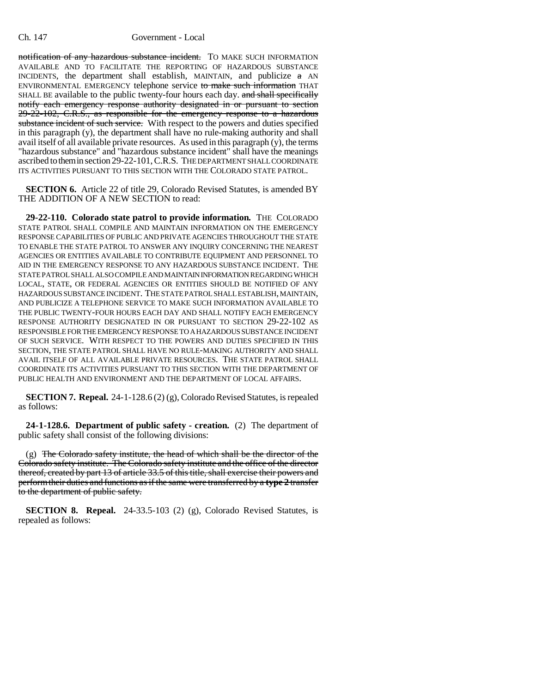notification of any hazardous substance incident. TO MAKE SUCH INFORMATION AVAILABLE AND TO FACILITATE THE REPORTING OF HAZARDOUS SUBSTANCE INCIDENTS, the department shall establish, MAINTAIN, and publicize  $\pi$  AN ENVIRONMENTAL EMERGENCY telephone service to make such information THAT SHALL BE available to the public twenty-four hours each day. and shall specifically notify each emergency response authority designated in or pursuant to section 29-22-102, C.R.S., as responsible for the emergency response to a hazardous substance incident of such service. With respect to the powers and duties specified in this paragraph (y), the department shall have no rule-making authority and shall avail itself of all available private resources. As used in this paragraph (y), the terms "hazardous substance" and "hazardous substance incident" shall have the meanings ascribed to them in section 29-22-101, C.R.S. THE DEPARTMENT SHALL COORDINATE ITS ACTIVITIES PURSUANT TO THIS SECTION WITH THE COLORADO STATE PATROL.

**SECTION 6.** Article 22 of title 29, Colorado Revised Statutes, is amended BY THE ADDITION OF A NEW SECTION to read:

**29-22-110. Colorado state patrol to provide information.** THE COLORADO STATE PATROL SHALL COMPILE AND MAINTAIN INFORMATION ON THE EMERGENCY RESPONSE CAPABILITIES OF PUBLIC AND PRIVATE AGENCIES THROUGHOUT THE STATE TO ENABLE THE STATE PATROL TO ANSWER ANY INQUIRY CONCERNING THE NEAREST AGENCIES OR ENTITIES AVAILABLE TO CONTRIBUTE EQUIPMENT AND PERSONNEL TO AID IN THE EMERGENCY RESPONSE TO ANY HAZARDOUS SUBSTANCE INCIDENT. THE STATE PATROL SHALL ALSO COMPILE AND MAINTAIN INFORMATION REGARDING WHICH LOCAL, STATE, OR FEDERAL AGENCIES OR ENTITIES SHOULD BE NOTIFIED OF ANY HAZARDOUS SUBSTANCE INCIDENT. THE STATE PATROL SHALL ESTABLISH, MAINTAIN, AND PUBLICIZE A TELEPHONE SERVICE TO MAKE SUCH INFORMATION AVAILABLE TO THE PUBLIC TWENTY-FOUR HOURS EACH DAY AND SHALL NOTIFY EACH EMERGENCY RESPONSE AUTHORITY DESIGNATED IN OR PURSUANT TO SECTION 29-22-102 AS RESPONSIBLE FOR THE EMERGENCY RESPONSE TO A HAZARDOUS SUBSTANCE INCIDENT OF SUCH SERVICE. WITH RESPECT TO THE POWERS AND DUTIES SPECIFIED IN THIS SECTION, THE STATE PATROL SHALL HAVE NO RULE-MAKING AUTHORITY AND SHALL AVAIL ITSELF OF ALL AVAILABLE PRIVATE RESOURCES. THE STATE PATROL SHALL COORDINATE ITS ACTIVITIES PURSUANT TO THIS SECTION WITH THE DEPARTMENT OF PUBLIC HEALTH AND ENVIRONMENT AND THE DEPARTMENT OF LOCAL AFFAIRS.

**SECTION 7. Repeal.** 24-1-128.6 (2) (g), Colorado Revised Statutes, is repealed as follows:

**24-1-128.6. Department of public safety - creation.** (2) The department of public safety shall consist of the following divisions:

 $(g)$  The Colorado safety institute, the head of which shall be the director of the Colorado safety institute. The Colorado safety institute and the office of the director thereof, created by part 13 of article 33.5 of this title, shall exercise their powers and perform their duties and functions as if the same were transferred by a **type 2** transfer to the department of public safety.

**SECTION 8. Repeal.** 24-33.5-103 (2) (g), Colorado Revised Statutes, is repealed as follows: